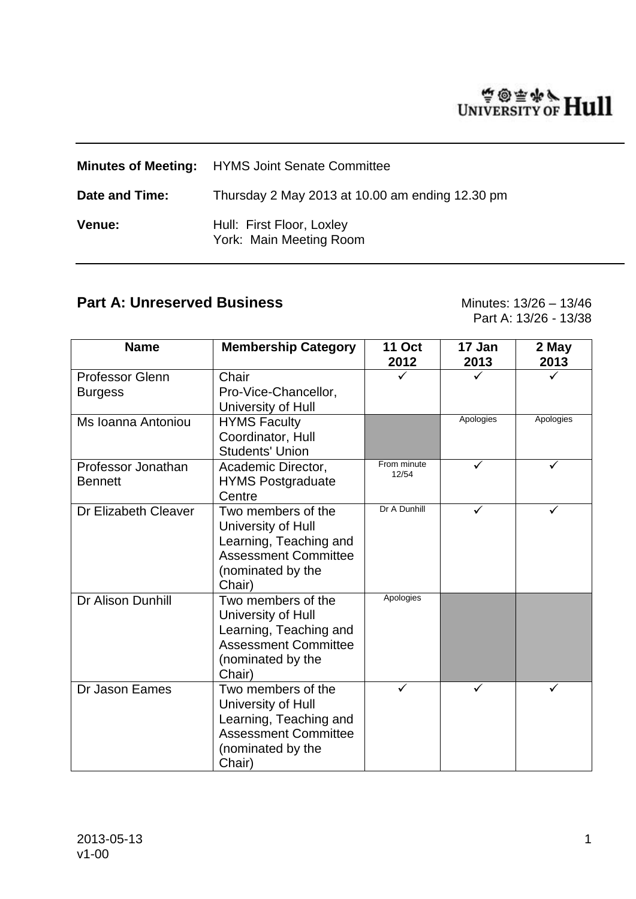# WINTERSITY OF Hull

|                | <b>Minutes of Meeting:</b> HYMS Joint Senate Committee |
|----------------|--------------------------------------------------------|
| Date and Time: | Thursday 2 May 2013 at 10.00 am ending 12.30 pm        |
| Venue:         | Hull: First Floor, Loxley<br>York: Main Meeting Room   |

# Part A: Unreserved Business **Minutes: 13/26 – 13/46**

Part A: 13/26 - 13/38

| <b>Name</b>                          | <b>Membership Category</b>                                                                                                       | <b>11 Oct</b><br>2012 | 17 Jan<br>2013 | 2 May<br>2013 |
|--------------------------------------|----------------------------------------------------------------------------------------------------------------------------------|-----------------------|----------------|---------------|
| Professor Glenn<br><b>Burgess</b>    | Chair<br>Pro-Vice-Chancellor,<br>University of Hull                                                                              |                       |                |               |
| Ms Ioanna Antoniou                   | <b>HYMS Faculty</b><br>Coordinator, Hull<br><b>Students' Union</b>                                                               |                       | Apologies      | Apologies     |
| Professor Jonathan<br><b>Bennett</b> | Academic Director,<br><b>HYMS Postgraduate</b><br>Centre                                                                         | From minute<br>12/54  | ✓              | ✓             |
| Dr Elizabeth Cleaver                 | Two members of the<br>University of Hull<br>Learning, Teaching and<br><b>Assessment Committee</b><br>(nominated by the<br>Chair) | Dr A Dunhill          |                |               |
| Dr Alison Dunhill                    | Two members of the<br>University of Hull<br>Learning, Teaching and<br><b>Assessment Committee</b><br>(nominated by the<br>Chair) | Apologies             |                |               |
| Dr Jason Eames                       | Two members of the<br>University of Hull<br>Learning, Teaching and<br><b>Assessment Committee</b><br>(nominated by the<br>Chair) | ✓                     | ✓              | ✓             |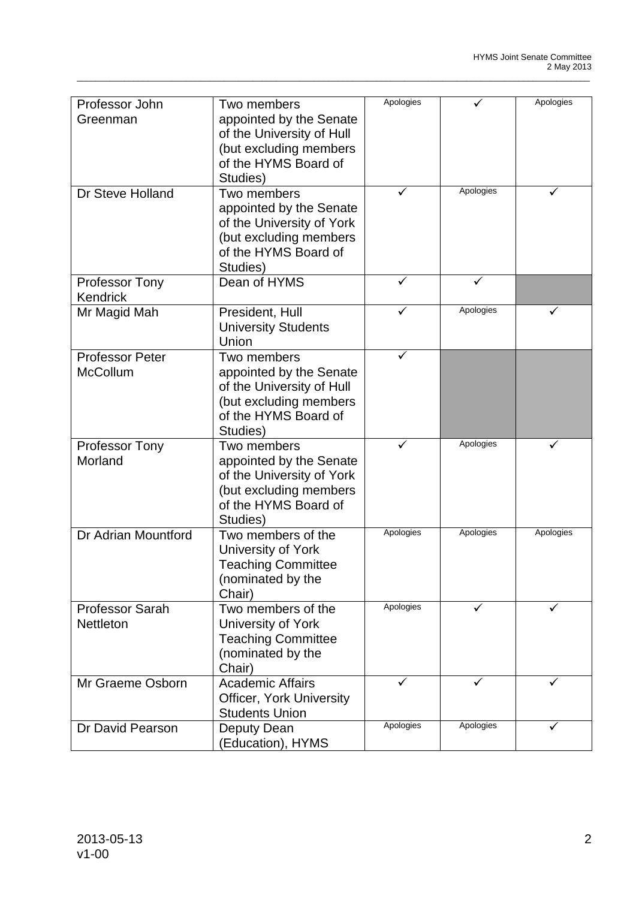| Professor John                             | Two members                                                                                                                       | Apologies |           | Apologies |
|--------------------------------------------|-----------------------------------------------------------------------------------------------------------------------------------|-----------|-----------|-----------|
| Greenman                                   | appointed by the Senate<br>of the University of Hull<br>(but excluding members<br>of the HYMS Board of<br>Studies)                |           |           |           |
| Dr Steve Holland                           | Two members<br>appointed by the Senate<br>of the University of York<br>(but excluding members<br>of the HYMS Board of<br>Studies) |           | Apologies |           |
| <b>Professor Tony</b><br>Kendrick          | Dean of HYMS                                                                                                                      | ✓         | ✓         |           |
| Mr Magid Mah                               | President, Hull<br><b>University Students</b><br>Union                                                                            | ✓         | Apologies |           |
| <b>Professor Peter</b><br><b>McCollum</b>  | Two members<br>appointed by the Senate<br>of the University of Hull<br>(but excluding members<br>of the HYMS Board of<br>Studies) | ✓         |           |           |
| <b>Professor Tony</b><br>Morland           | Two members<br>appointed by the Senate<br>of the University of York<br>(but excluding members<br>of the HYMS Board of<br>Studies) | ✓         | Apologies |           |
| Dr Adrian Mountford                        | Two members of the<br>University of York<br><b>Teaching Committee</b><br>(nominated by the<br>Chair)                              | Apologies | Apologies | Apologies |
| <b>Professor Sarah</b><br><b>Nettleton</b> | Two members of the<br>University of York<br><b>Teaching Committee</b><br>(nominated by the<br>Chair)                              | Apologies |           |           |
| Mr Graeme Osborn                           | <b>Academic Affairs</b><br><b>Officer, York University</b><br><b>Students Union</b>                                               | ✓         | ✓         |           |
| Dr David Pearson                           | Deputy Dean<br>(Education), HYMS                                                                                                  | Apologies | Apologies |           |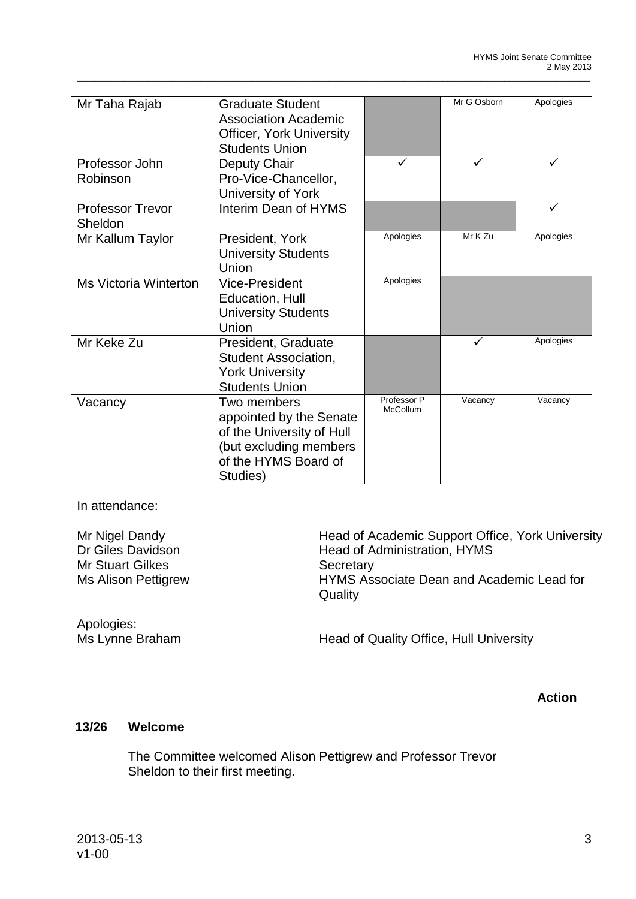| Mr Taha Rajab                | <b>Graduate Student</b>         |             | Mr G Osborn | Apologies |
|------------------------------|---------------------------------|-------------|-------------|-----------|
|                              | <b>Association Academic</b>     |             |             |           |
|                              | <b>Officer, York University</b> |             |             |           |
|                              | <b>Students Union</b>           |             |             |           |
| Professor John               | Deputy Chair                    |             |             |           |
| Robinson                     | Pro-Vice-Chancellor,            |             |             |           |
|                              | University of York              |             |             |           |
|                              |                                 |             |             |           |
| <b>Professor Trevor</b>      | Interim Dean of HYMS            |             |             |           |
| Sheldon                      |                                 |             |             |           |
| Mr Kallum Taylor             | President, York                 | Apologies   | Mr K Zu     | Apologies |
|                              | <b>University Students</b>      |             |             |           |
|                              | Union                           |             |             |           |
| <b>Ms Victoria Winterton</b> | <b>Vice-President</b>           | Apologies   |             |           |
|                              | Education, Hull                 |             |             |           |
|                              | <b>University Students</b>      |             |             |           |
|                              | Union                           |             |             |           |
| Mr Keke Zu                   | President, Graduate             |             | ✓           | Apologies |
|                              | <b>Student Association,</b>     |             |             |           |
|                              | <b>York University</b>          |             |             |           |
|                              | <b>Students Union</b>           |             |             |           |
| Vacancy                      | Two members                     | Professor P | Vacancy     | Vacancy   |
|                              | appointed by the Senate         | McCollum    |             |           |
|                              | of the University of Hull       |             |             |           |
|                              | (but excluding members          |             |             |           |
|                              |                                 |             |             |           |
|                              | of the HYMS Board of            |             |             |           |
|                              | Studies)                        |             |             |           |

In attendance:

Mr Stuart Gilkes Secretary

Apologies:<br>Ms Lynne Braham

Mr Nigel Dandy **Head of Academic Support Office, York University** Dr Giles Davidson **Head of Administration**, HYMS Ms Alison Pettigrew HYMS Associate Dean and Academic Lead for **Quality** 

Head of Quality Office, Hull University

**Action**

# **13/26 Welcome**

The Committee welcomed Alison Pettigrew and Professor Trevor Sheldon to their first meeting.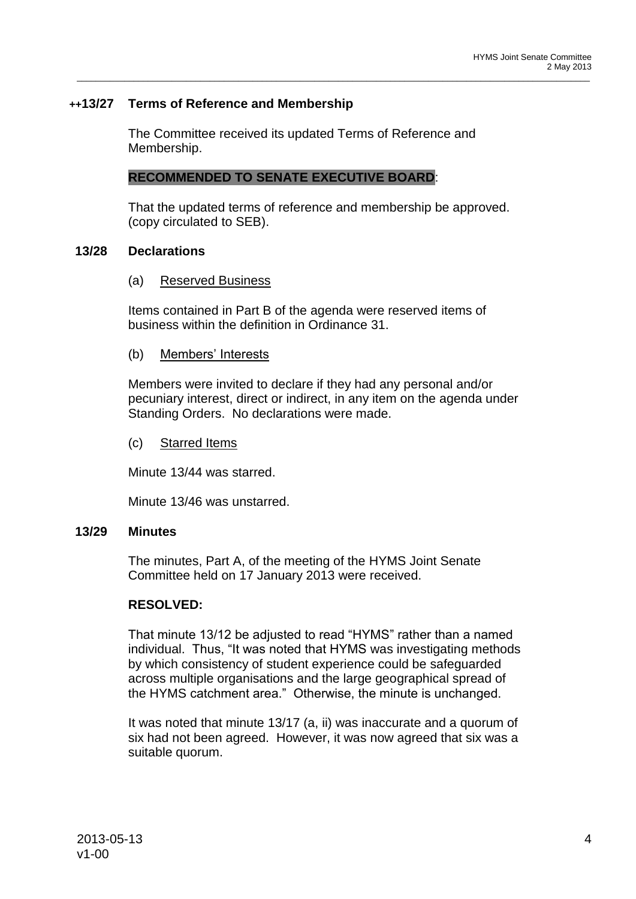# **++13/27 Terms of Reference and Membership**

The Committee received its updated Terms of Reference and Membership.

## **RECOMMENDED TO SENATE EXECUTIVE BOARD**:

That the updated terms of reference and membership be approved. (copy circulated to SEB).

#### **13/28 Declarations**

#### (a) Reserved Business

Items contained in Part B of the agenda were reserved items of business within the definition in Ordinance 31.

#### (b) Members' Interests

Members were invited to declare if they had any personal and/or pecuniary interest, direct or indirect, in any item on the agenda under Standing Orders. No declarations were made.

(c) Starred Items

Minute 13/44 was starred.

Minute 13/46 was unstarred.

#### **13/29 Minutes**

The minutes, Part A, of the meeting of the HYMS Joint Senate Committee held on 17 January 2013 were received.

#### **RESOLVED:**

That minute 13/12 be adjusted to read "HYMS" rather than a named individual. Thus, "It was noted that HYMS was investigating methods by which consistency of student experience could be safeguarded across multiple organisations and the large geographical spread of the HYMS catchment area." Otherwise, the minute is unchanged.

It was noted that minute 13/17 (a, ii) was inaccurate and a quorum of six had not been agreed. However, it was now agreed that six was a suitable quorum.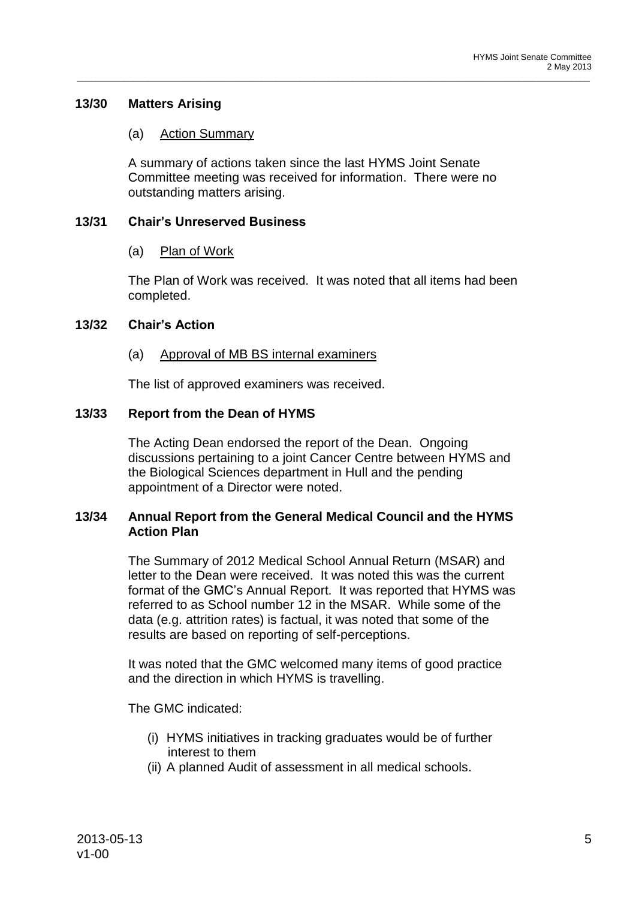# **13/30 Matters Arising**

## (a) Action Summary

A summary of actions taken since the last HYMS Joint Senate Committee meeting was received for information. There were no outstanding matters arising.

## **13/31 Chair's Unreserved Business**

#### (a) Plan of Work

The Plan of Work was received. It was noted that all items had been completed.

## **13/32 Chair's Action**

(a) Approval of MB BS internal examiners

The list of approved examiners was received.

## **13/33 Report from the Dean of HYMS**

The Acting Dean endorsed the report of the Dean. Ongoing discussions pertaining to a joint Cancer Centre between HYMS and the Biological Sciences department in Hull and the pending appointment of a Director were noted.

## **13/34 Annual Report from the General Medical Council and the HYMS Action Plan**

The Summary of 2012 Medical School Annual Return (MSAR) and letter to the Dean were received. It was noted this was the current format of the GMC's Annual Report. It was reported that HYMS was referred to as School number 12 in the MSAR. While some of the data (e.g. attrition rates) is factual, it was noted that some of the results are based on reporting of self-perceptions.

It was noted that the GMC welcomed many items of good practice and the direction in which HYMS is travelling.

The GMC indicated:

- (i) HYMS initiatives in tracking graduates would be of further interest to them
- (ii) A planned Audit of assessment in all medical schools.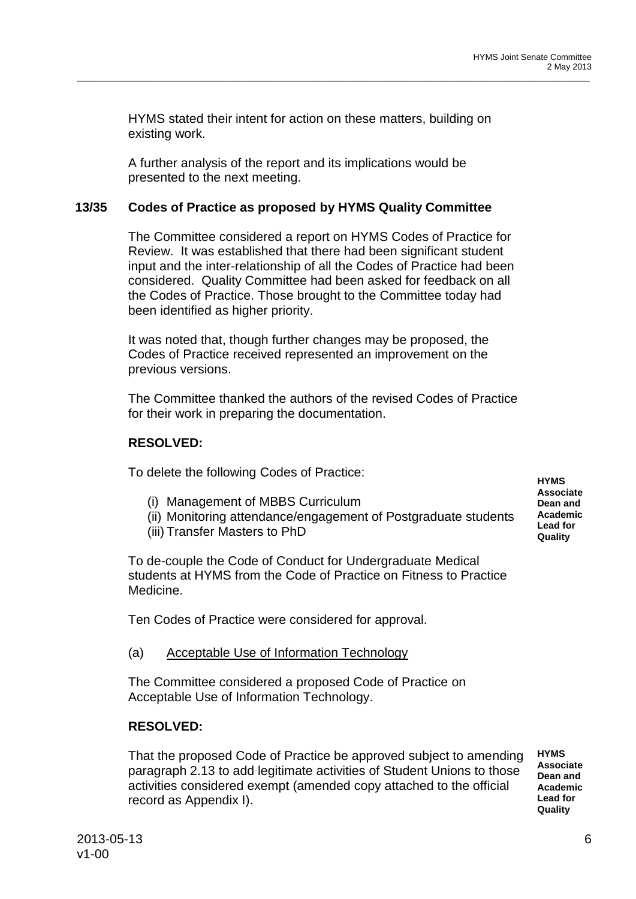HYMS stated their intent for action on these matters, building on existing work.

A further analysis of the report and its implications would be presented to the next meeting.

# **13/35 Codes of Practice as proposed by HYMS Quality Committee**

The Committee considered a report on HYMS Codes of Practice for Review. It was established that there had been significant student input and the inter-relationship of all the Codes of Practice had been considered. Quality Committee had been asked for feedback on all the Codes of Practice. Those brought to the Committee today had been identified as higher priority.

It was noted that, though further changes may be proposed, the Codes of Practice received represented an improvement on the previous versions.

The Committee thanked the authors of the revised Codes of Practice for their work in preparing the documentation.

# **RESOLVED:**

To delete the following Codes of Practice:

- (i) Management of MBBS Curriculum
- (ii) Monitoring attendance/engagement of Postgraduate students
- (iii) Transfer Masters to PhD

To de-couple the Code of Conduct for Undergraduate Medical students at HYMS from the Code of Practice on Fitness to Practice Medicine.

Ten Codes of Practice were considered for approval.

# (a) Acceptable Use of Information Technology

The Committee considered a proposed Code of Practice on Acceptable Use of Information Technology.

# **RESOLVED:**

That the proposed Code of Practice be approved subject to amending paragraph 2.13 to add legitimate activities of Student Unions to those activities considered exempt (amended copy attached to the official record as Appendix I).

**HYMS Associate Dean and Academic Lead for Quality**

**HYMS Associate Dean and Academic Lead for Quality**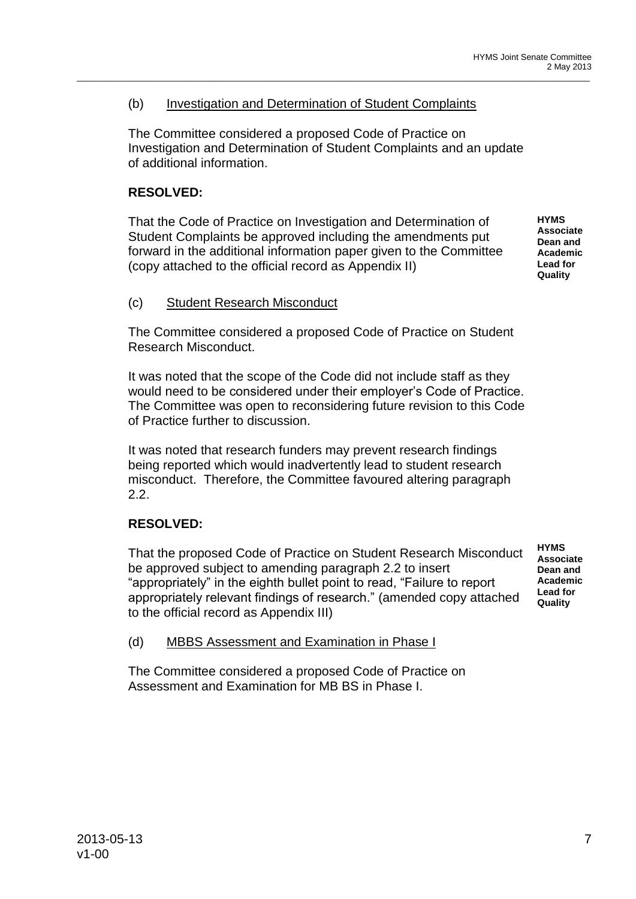# (b) Investigation and Determination of Student Complaints

The Committee considered a proposed Code of Practice on Investigation and Determination of Student Complaints and an update of additional information.

# **RESOLVED:**

That the Code of Practice on Investigation and Determination of Student Complaints be approved including the amendments put forward in the additional information paper given to the Committee (copy attached to the official record as Appendix II)

**HYMS Associate Dean and Academic Lead for Quality**

# (c) Student Research Misconduct

The Committee considered a proposed Code of Practice on Student Research Misconduct.

It was noted that the scope of the Code did not include staff as they would need to be considered under their employer's Code of Practice. The Committee was open to reconsidering future revision to this Code of Practice further to discussion.

It was noted that research funders may prevent research findings being reported which would inadvertently lead to student research misconduct. Therefore, the Committee favoured altering paragraph 2.2.

# **RESOLVED:**

That the proposed Code of Practice on Student Research Misconduct be approved subject to amending paragraph 2.2 to insert "appropriately" in the eighth bullet point to read, "Failure to report appropriately relevant findings of research." (amended copy attached to the official record as Appendix III)

**HYMS Associate Dean and Academic Lead for Quality**

(d) MBBS Assessment and Examination in Phase I

The Committee considered a proposed Code of Practice on Assessment and Examination for MB BS in Phase I.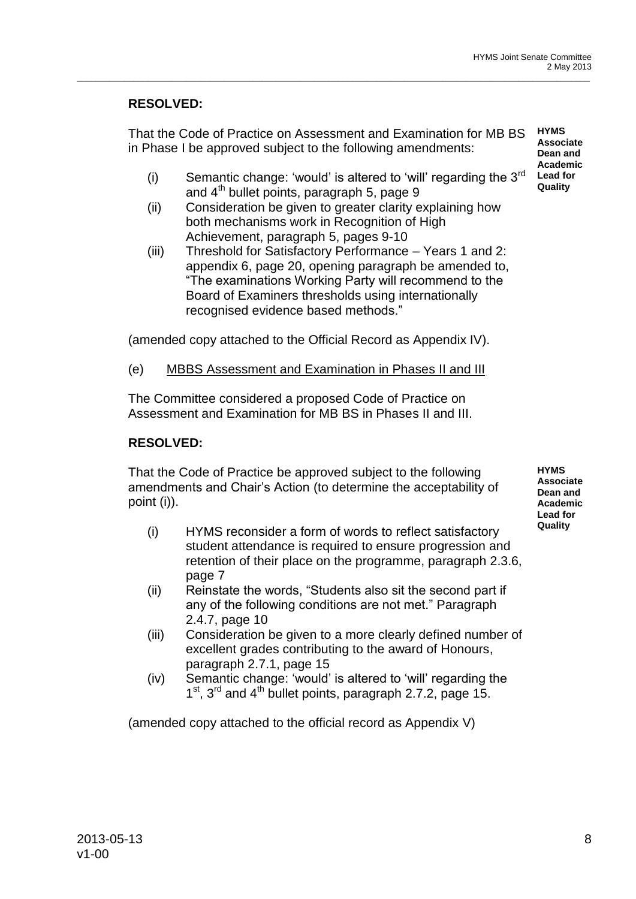# **RESOLVED:**

That the Code of Practice on Assessment and Examination for MB BS in Phase I be approved subject to the following amendments:

- (i) Semantic change: 'would' is altered to 'will' regarding the  $3<sup>rd</sup>$ and  $4<sup>th</sup>$  bullet points, paragraph 5, page 9
- (ii) Consideration be given to greater clarity explaining how both mechanisms work in Recognition of High Achievement, paragraph 5, pages 9-10
- (iii) Threshold for Satisfactory Performance Years 1 and 2: appendix 6, page 20, opening paragraph be amended to, "The examinations Working Party will recommend to the Board of Examiners thresholds using internationally recognised evidence based methods."

(amended copy attached to the Official Record as Appendix IV).

## (e) MBBS Assessment and Examination in Phases II and III

The Committee considered a proposed Code of Practice on Assessment and Examination for MB BS in Phases II and III.

## **RESOLVED:**

That the Code of Practice be approved subject to the following amendments and Chair's Action (to determine the acceptability of point (i)).

- (i) HYMS reconsider a form of words to reflect satisfactory student attendance is required to ensure progression and retention of their place on the programme, paragraph 2.3.6, page 7
- (ii) Reinstate the words, "Students also sit the second part if any of the following conditions are not met." Paragraph 2.4.7, page 10
- (iii) Consideration be given to a more clearly defined number of excellent grades contributing to the award of Honours, paragraph 2.7.1, page 15
- (iv) Semantic change: 'would' is altered to 'will' regarding the 1<sup>st</sup>, 3<sup>rd</sup> and 4<sup>th</sup> bullet points, paragraph 2.7.2, page 15.

(amended copy attached to the official record as Appendix V)

**HYMS Associate Dean and Academic Lead for Quality**

**HYMS Associate Dean and Academic Lead for Quality**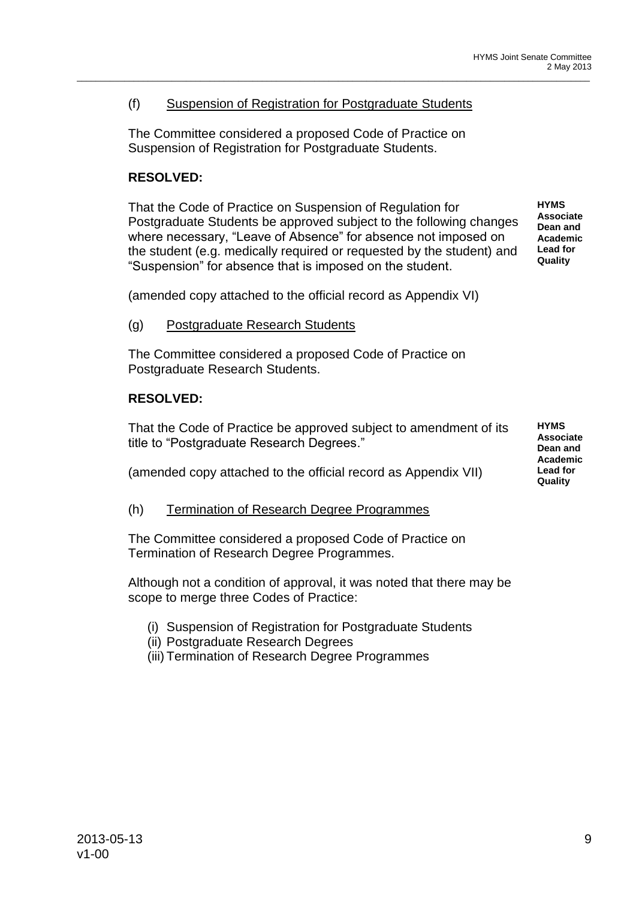# (f) Suspension of Registration for Postgraduate Students

The Committee considered a proposed Code of Practice on Suspension of Registration for Postgraduate Students.

# **RESOLVED:**

That the Code of Practice on Suspension of Regulation for Postgraduate Students be approved subject to the following changes where necessary, "Leave of Absence" for absence not imposed on the student (e.g. medically required or requested by the student) and "Suspension" for absence that is imposed on the student.

(amended copy attached to the official record as Appendix VI)

(g) Postgraduate Research Students

The Committee considered a proposed Code of Practice on Postgraduate Research Students.

# **RESOLVED:**

That the Code of Practice be approved subject to amendment of its title to "Postgraduate Research Degrees."

(amended copy attached to the official record as Appendix VII)

# (h) Termination of Research Degree Programmes

The Committee considered a proposed Code of Practice on Termination of Research Degree Programmes.

Although not a condition of approval, it was noted that there may be scope to merge three Codes of Practice:

- (i) Suspension of Registration for Postgraduate Students
- (ii) Postgraduate Research Degrees
- (iii) Termination of Research Degree Programmes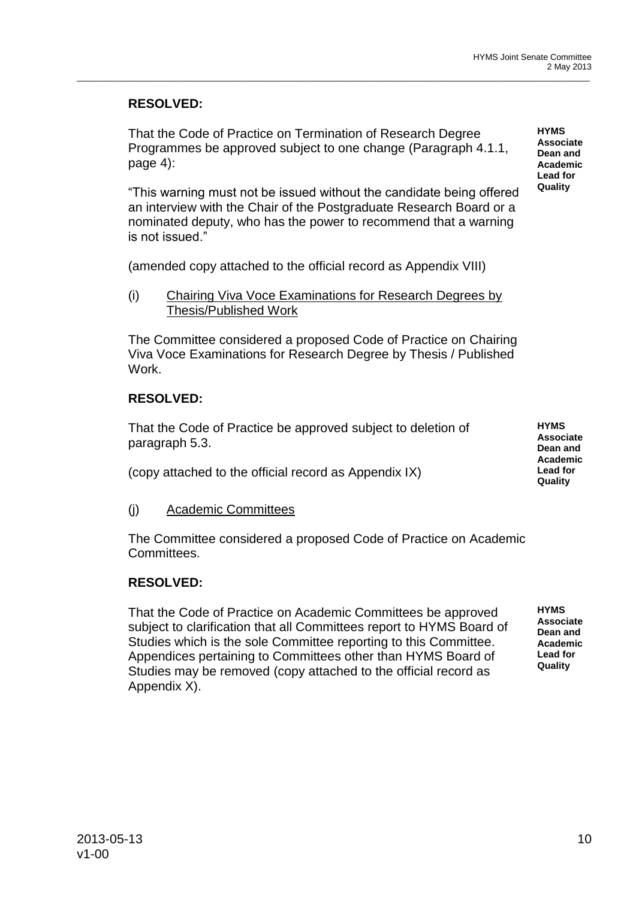# **RESOLVED:**

That the Code of Practice on Termination of Research Degree Programmes be approved subject to one change (Paragraph 4.1.1, page 4):

"This warning must not be issued without the candidate being offered an interview with the Chair of the Postgraduate Research Board or a nominated deputy, who has the power to recommend that a warning is not issued."

(amended copy attached to the official record as Appendix VIII)

(i) Chairing Viva Voce Examinations for Research Degrees by Thesis/Published Work

The Committee considered a proposed Code of Practice on Chairing Viva Voce Examinations for Research Degree by Thesis / Published Work.

# **RESOLVED:**

That the Code of Practice be approved subject to deletion of paragraph 5.3.

(copy attached to the official record as Appendix IX)

# (j) Academic Committees

The Committee considered a proposed Code of Practice on Academic Committees.

# **RESOLVED:**

That the Code of Practice on Academic Committees be approved subject to clarification that all Committees report to HYMS Board of Studies which is the sole Committee reporting to this Committee. Appendices pertaining to Committees other than HYMS Board of Studies may be removed (copy attached to the official record as Appendix X).

**HYMS Associate Dean and Academic Lead for Quality**

**HYMS Associate Dean and Academic Lead for Quality**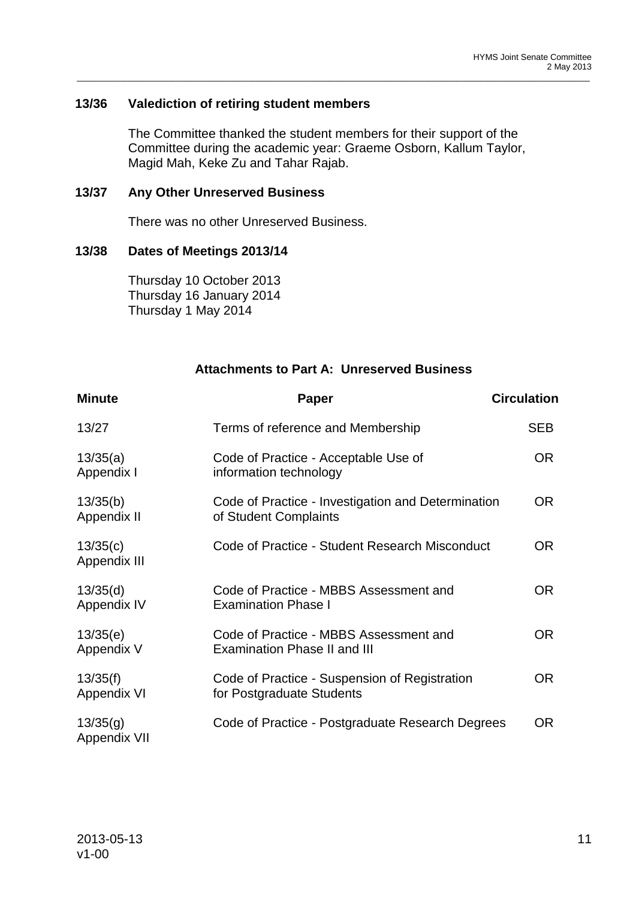# **13/36 Valediction of retiring student members**

The Committee thanked the student members for their support of the Committee during the academic year: Graeme Osborn, Kallum Taylor, Magid Mah, Keke Zu and Tahar Rajab.

# **13/37 Any Other Unreserved Business**

There was no other Unreserved Business.

## **13/38 Dates of Meetings 2013/14**

Thursday 10 October 2013 Thursday 16 January 2014 Thursday 1 May 2014

# **Attachments to Part A: Unreserved Business**

| <b>Minute</b>                  | Paper                                                                         | <b>Circulation</b> |
|--------------------------------|-------------------------------------------------------------------------------|--------------------|
| 13/27                          | Terms of reference and Membership                                             | <b>SEB</b>         |
| 13/35(a)<br>Appendix I         | Code of Practice - Acceptable Use of<br>information technology                | <b>OR</b>          |
| 13/35(b)<br>Appendix II        | Code of Practice - Investigation and Determination<br>of Student Complaints   | OR.                |
| 13/35(c)<br>Appendix III       | Code of Practice - Student Research Misconduct                                | OR.                |
| 13/35(d)<br>Appendix IV        | Code of Practice - MBBS Assessment and<br><b>Examination Phase I</b>          | OR.                |
| 13/35(e)<br>Appendix V         | Code of Practice - MBBS Assessment and<br><b>Examination Phase II and III</b> | OR.                |
| 13/35(f)<br><b>Appendix VI</b> | Code of Practice - Suspension of Registration<br>for Postgraduate Students    | OR.                |
| 13/35(g)<br>Appendix VII       | Code of Practice - Postgraduate Research Degrees                              | <b>OR</b>          |